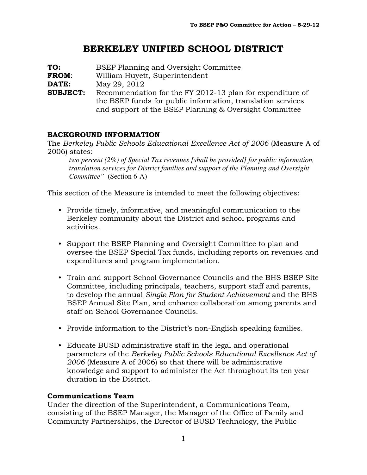# BERKELEY UNIFIED SCHOOL DISTRICT

| TO:             | <b>BSEP Planning and Oversight Committee</b>                |  |  |  |
|-----------------|-------------------------------------------------------------|--|--|--|
| <b>FROM:</b>    | William Huyett, Superintendent                              |  |  |  |
| DATE:           | May 29, 2012                                                |  |  |  |
| <b>SUBJECT:</b> | Recommendation for the FY 2012-13 plan for expenditure of   |  |  |  |
|                 | the BSEP funds for public information, translation services |  |  |  |
|                 | and support of the BSEP Planning & Oversight Committee      |  |  |  |

### BACKGROUND INFORMATION

The Berkeley Public Schools Educational Excellence Act of 2006 (Measure A of 2006) states:

*two percent (2%) of Special Tax revenues [shall be provided] for public information, translation services for District families and support of the Planning and Oversight Committee"* (Section 6-A)

This section of the Measure is intended to meet the following objectives:

- Provide timely, informative, and meaningful communication to the Berkeley community about the District and school programs and activities.
- Support the BSEP Planning and Oversight Committee to plan and oversee the BSEP Special Tax funds, including reports on revenues and expenditures and program implementation.
- Train and support School Governance Councils and the BHS BSEP Site Committee, including principals, teachers, support staff and parents, to develop the annual Single Plan for Student Achievement and the BHS BSEP Annual Site Plan, and enhance collaboration among parents and staff on School Governance Councils.
- Provide information to the District's non-English speaking families.
- Educate BUSD administrative staff in the legal and operational parameters of the Berkeley Public Schools Educational Excellence Act of 2006 (Measure A of 2006) so that there will be administrative knowledge and support to administer the Act throughout its ten year duration in the District.

### Communications Team

Under the direction of the Superintendent, a Communications Team, consisting of the BSEP Manager, the Manager of the Office of Family and Community Partnerships, the Director of BUSD Technology, the Public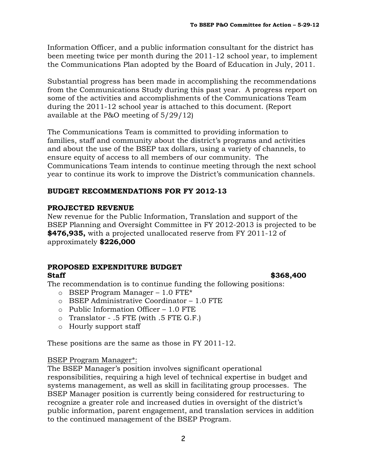Information Officer, and a public information consultant for the district has been meeting twice per month during the 2011-12 school year, to implement the Communications Plan adopted by the Board of Education in July, 2011.

Substantial progress has been made in accomplishing the recommendations from the Communications Study during this past year. A progress report on some of the activities and accomplishments of the Communications Team during the 2011-12 school year is attached to this document. (Report available at the P&O meeting of 5/29/12)

The Communications Team is committed to providing information to families, staff and community about the district's programs and activities and about the use of the BSEP tax dollars, using a variety of channels, to ensure equity of access to all members of our community. The Communications Team intends to continue meeting through the next school year to continue its work to improve the District's communication channels.

### BUDGET RECOMMENDATIONS FOR FY 2012-13

### PROJECTED REVENUE

New revenue for the Public Information, Translation and support of the BSEP Planning and Oversight Committee in FY 2012-2013 is projected to be \$476,935, with a projected unallocated reserve from FY 2011-12 of approximately \$226,000

# PROPOSED EXPENDITURE BUDGET

### $\text{Staff}$   $\text{S568.400}$

The recommendation is to continue funding the following positions:

- $\circ$  BSEP Program Manager 1.0 FTE\*
- o BSEP Administrative Coordinator 1.0 FTE
- $\circ$  Public Information Officer 1.0 FTE
- o Translator .5 FTE (with .5 FTE G.F.)
- o Hourly support staff

These positions are the same as those in FY 2011-12.

### BSEP Program Manager\*:

The BSEP Manager's position involves significant operational responsibilities, requiring a high level of technical expertise in budget and systems management, as well as skill in facilitating group processes. The BSEP Manager position is currently being considered for restructuring to recognize a greater role and increased duties in oversight of the district's public information, parent engagement, and translation services in addition to the continued management of the BSEP Program.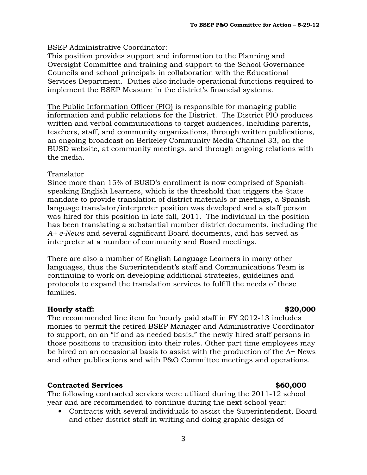### BSEP Administrative Coordinator:

This position provides support and information to the Planning and Oversight Committee and training and support to the School Governance Councils and school principals in collaboration with the Educational Services Department. Duties also include operational functions required to implement the BSEP Measure in the district's financial systems.

The Public Information Officer (PIO) is responsible for managing public information and public relations for the District. The District PIO produces written and verbal communications to target audiences, including parents, teachers, staff, and community organizations, through written publications, an ongoing broadcast on Berkeley Community Media Channel 33, on the BUSD website, at community meetings, and through ongoing relations with the media.

### Translator

Since more than 15% of BUSD's enrollment is now comprised of Spanishspeaking English Learners, which is the threshold that triggers the State mandate to provide translation of district materials or meetings, a Spanish language translator/interpreter position was developed and a staff person was hired for this position in late fall, 2011. The individual in the position has been translating a substantial number district documents, including the A+ e-News and several significant Board documents, and has served as interpreter at a number of community and Board meetings.

There are also a number of English Language Learners in many other languages, thus the Superintendent's staff and Communications Team is continuing to work on developing additional strategies, guidelines and protocols to expand the translation services to fulfill the needs of these families.

### Hourly staff:  $\sim$  820,000

The recommended line item for hourly paid staff in FY 2012-13 includes monies to permit the retired BSEP Manager and Administrative Coordinator to support, on an "if and as needed basis," the newly hired staff persons in those positions to transition into their roles. Other part time employees may be hired on an occasional basis to assist with the production of the A+ News and other publications and with P&O Committee meetings and operations.

### Contracted Services \$60,000

The following contracted services were utilized during the 2011-12 school year and are recommended to continue during the next school year:

• Contracts with several individuals to assist the Superintendent, Board and other district staff in writing and doing graphic design of

### 3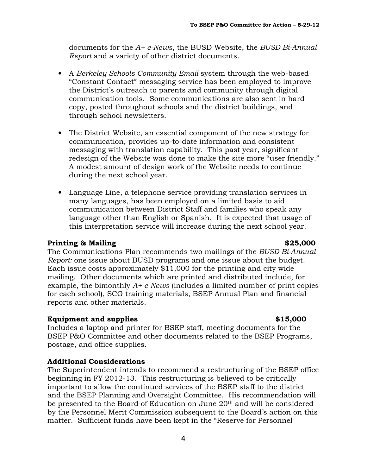documents for the  $A+e$ -News, the BUSD Website, the BUSD Bi-Annual Report and a variety of other district documents.

- A Berkeley Schools Community Email system through the web-based "Constant Contact" messaging service has been employed to improve the District's outreach to parents and community through digital communication tools. Some communications are also sent in hard copy, posted throughout schools and the district buildings, and through school newsletters.
- The District Website, an essential component of the new strategy for communication, provides up-to-date information and consistent messaging with translation capability. This past year, significant redesign of the Website was done to make the site more "user friendly." A modest amount of design work of the Website needs to continue during the next school year.
- Language Line, a telephone service providing translation services in many languages, has been employed on a limited basis to aid communication between District Staff and families who speak any language other than English or Spanish. It is expected that usage of this interpretation service will increase during the next school year.

### Printing & Mailing  $$25,000$

The Communications Plan recommends two mailings of the BUSD Bi-Annual Report: one issue about BUSD programs and one issue about the budget. Each issue costs approximately \$11,000 for the printing and city wide mailing. Other documents which are printed and distributed include, for example, the bimonthly  $A+e$ -News (includes a limited number of print copies for each school), SCG training materials, BSEP Annual Plan and financial reports and other materials.

### Equipment and supplies  $$15,000$

Includes a laptop and printer for BSEP staff, meeting documents for the BSEP P&O Committee and other documents related to the BSEP Programs, postage, and office supplies.

### Additional Considerations

The Superintendent intends to recommend a restructuring of the BSEP office beginning in FY 2012-13. This restructuring is believed to be critically important to allow the continued services of the BSEP staff to the district and the BSEP Planning and Oversight Committee. His recommendation will be presented to the Board of Education on June 20th and will be considered by the Personnel Merit Commission subsequent to the Board's action on this matter. Sufficient funds have been kept in the "Reserve for Personnel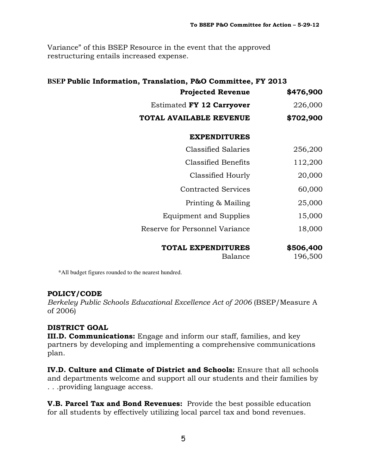Variance" of this BSEP Resource in the event that the approved restructuring entails increased expense.

# **BSEP** Public Information, Translation, P&O Committee, FY 2013 Projected Revenue \$476,900 Estimated  $FY$  12 Carryover  $226,000$ TOTAL AVAILABLE REVENUE \$702,900 EXPENDITURES Classified Salaries 256,200 Classified Benefits 112,200 Classified Hourly 20,000 Contracted Services 60,000 Printing & Mailing 25,000 Equipment and Supplies 15,000 Reserve for Personnel Variance 18,000 TOTAL EXPENDITURES \$506,400 Balance 196,500

\*All budget figures rounded to the nearest hundred.

# POLICY/CODE

Berkeley Public Schools Educational Excellence Act of 2006 (BSEP/Measure A of 2006)

# DISTRICT GOAL

III.D. Communications: Engage and inform our staff, families, and key partners by developing and implementing a comprehensive communications plan.

IV.D. Culture and Climate of District and Schools: Ensure that all schools and departments welcome and support all our students and their families by . . .providing language access.

**V.B. Parcel Tax and Bond Revenues:** Provide the best possible education for all students by effectively utilizing local parcel tax and bond revenues.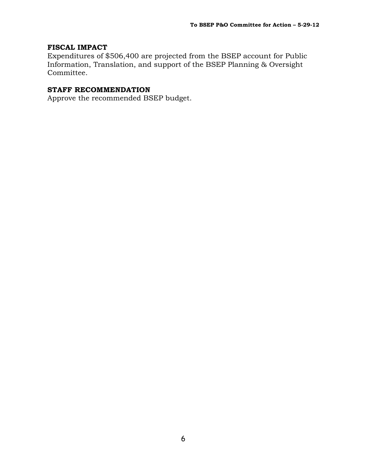### FISCAL IMPACT

Expenditures of \$506,400 are projected from the BSEP account for Public Information, Translation, and support of the BSEP Planning & Oversight Committee.

### STAFF RECOMMENDATION

Approve the recommended BSEP budget.